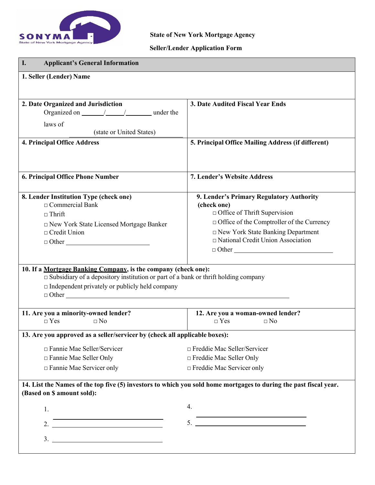

# **Seller/Lender Application Form**

| <b>Applicant's General Information</b><br>I.                                                                      |                                                                                         |  |  |  |
|-------------------------------------------------------------------------------------------------------------------|-----------------------------------------------------------------------------------------|--|--|--|
| 1. Seller (Lender) Name                                                                                           |                                                                                         |  |  |  |
|                                                                                                                   |                                                                                         |  |  |  |
| 2. Date Organized and Jurisdiction                                                                                | 3. Date Audited Fiscal Year Ends                                                        |  |  |  |
|                                                                                                                   |                                                                                         |  |  |  |
| laws of<br>(state or United States)                                                                               |                                                                                         |  |  |  |
| <b>4. Principal Office Address</b>                                                                                | 5. Principal Office Mailing Address (if different)                                      |  |  |  |
|                                                                                                                   |                                                                                         |  |  |  |
|                                                                                                                   |                                                                                         |  |  |  |
| 6. Principal Office Phone Number                                                                                  | <b>7. Lender's Website Address</b>                                                      |  |  |  |
| 8. Lender Institution Type (check one)                                                                            | 9. Lender's Primary Regulatory Authority                                                |  |  |  |
| $\Box$ Commercial Bank                                                                                            | (check one)                                                                             |  |  |  |
| $\Box$ Thrift                                                                                                     | $\Box$ Office of Thrift Supervision<br>$\Box$ Office of the Comptroller of the Currency |  |  |  |
| □ New York State Licensed Mortgage Banker<br>$\Box$ Credit Union                                                  | $\Box$ New York State Banking Department                                                |  |  |  |
| $\Box$ Other                                                                                                      | National Credit Union Association                                                       |  |  |  |
|                                                                                                                   |                                                                                         |  |  |  |
| 10. If a Mortgage Banking Company, is the company (check one):                                                    |                                                                                         |  |  |  |
| $\square$ Subsidiary of a depository institution or part of a bank or thrift holding company                      |                                                                                         |  |  |  |
| $\Box$ Independent privately or publicly held company                                                             |                                                                                         |  |  |  |
|                                                                                                                   |                                                                                         |  |  |  |
| 11. Are you a minority-owned lender?                                                                              | 12. Are you a woman-owned lender?                                                       |  |  |  |
| $\Box$ No<br>$\Box$ Yes                                                                                           | $\neg$ Yes<br>$\Box$ No                                                                 |  |  |  |
| 13. Are you approved as a seller/servicer by (check all applicable boxes):                                        |                                                                                         |  |  |  |
| □ Fannie Mae Seller/Servicer                                                                                      | $\Box$ Freddie Mac Seller/Servicer                                                      |  |  |  |
| □ Fannie Mae Seller Only                                                                                          | $\Box$ Freddie Mac Seller Only                                                          |  |  |  |
| $\Box$ Fannie Mae Servicer only                                                                                   | $\Box$ Freddie Mac Servicer only                                                        |  |  |  |
| 14. List the Names of the top five (5) investors to which you sold home mortgages to during the past fiscal year. |                                                                                         |  |  |  |
| (Based on \$ amount sold):                                                                                        |                                                                                         |  |  |  |
| 1.                                                                                                                | 4.                                                                                      |  |  |  |
| 2. $\overline{\qquad \qquad }$                                                                                    | 5.                                                                                      |  |  |  |
|                                                                                                                   |                                                                                         |  |  |  |
|                                                                                                                   |                                                                                         |  |  |  |
|                                                                                                                   |                                                                                         |  |  |  |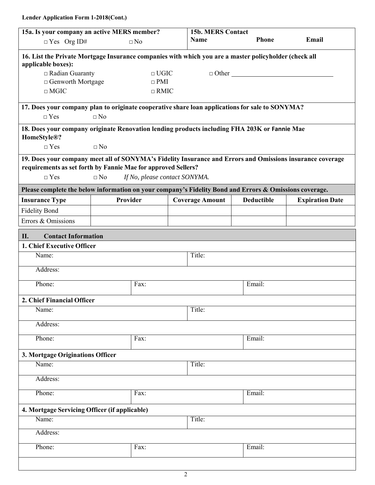| 15a. Is your company an active MERS member?                                                                                                                                              |                                   |                               |  | <b>15b. MERS Contact</b> |                   |                        |
|------------------------------------------------------------------------------------------------------------------------------------------------------------------------------------------|-----------------------------------|-------------------------------|--|--------------------------|-------------------|------------------------|
| $\Box$ Yes Org ID#                                                                                                                                                                       |                                   | $\square$ No                  |  | Name                     | <b>Phone</b>      | Email                  |
| 16. List the Private Mortgage Insurance companies with which you are a master policyholder (check all<br>applicable boxes):                                                              |                                   |                               |  |                          |                   |                        |
| $\Box$ Radian Guaranty                                                                                                                                                                   |                                   | $\Box$ UGIC                   |  |                          | $\Box$ Other      |                        |
|                                                                                                                                                                                          | □ Genworth Mortgage<br>$\Box$ PMI |                               |  |                          |                   |                        |
| $\square$<br>MGIC                                                                                                                                                                        |                                   | $\Box$ RMIC                   |  |                          |                   |                        |
| 17. Does your company plan to originate cooperative share loan applications for sale to SONYMA?                                                                                          |                                   |                               |  |                          |                   |                        |
| $\Box$ Yes                                                                                                                                                                               | $\Box$ No                         |                               |  |                          |                   |                        |
| 18. Does your company originate Renovation lending products including FHA 203K or Fannie Mae<br>HomeStyle®?                                                                              |                                   |                               |  |                          |                   |                        |
| $\Box$ Yes                                                                                                                                                                               | $\Box$ No                         |                               |  |                          |                   |                        |
| 19. Does your company meet all of SONYMA's Fidelity Insurance and Errors and Omissions insurance coverage<br>requirements as set forth by Fannie Mae for approved Sellers?<br>$\Box$ Yes | $\square$ No                      | If No, please contact SONYMA. |  |                          |                   |                        |
| Please complete the below information on your company's Fidelity Bond and Errors & Omissions coverage.                                                                                   |                                   |                               |  |                          |                   |                        |
| <b>Insurance Type</b>                                                                                                                                                                    | Provider                          |                               |  | <b>Coverage Amount</b>   | <b>Deductible</b> | <b>Expiration Date</b> |
| <b>Fidelity Bond</b>                                                                                                                                                                     |                                   |                               |  |                          |                   |                        |
| Errors & Omissions                                                                                                                                                                       |                                   |                               |  |                          |                   |                        |
| <b>Contact Information</b><br>II.                                                                                                                                                        |                                   |                               |  |                          |                   |                        |
| 1. Chief Executive Officer                                                                                                                                                               |                                   |                               |  |                          |                   |                        |
| Name:                                                                                                                                                                                    |                                   |                               |  | Title:                   |                   |                        |
| Address:                                                                                                                                                                                 |                                   |                               |  |                          |                   |                        |
| Phone:                                                                                                                                                                                   |                                   | Fax:                          |  |                          | Email:            |                        |
| 2. Chief Financial Officer                                                                                                                                                               |                                   |                               |  |                          |                   |                        |
| Name:                                                                                                                                                                                    |                                   |                               |  | Title:                   |                   |                        |
| Address:                                                                                                                                                                                 |                                   |                               |  |                          |                   |                        |
| Phone:                                                                                                                                                                                   |                                   | Fax:                          |  |                          | Email:            |                        |
| 3. Mortgage Originations Officer                                                                                                                                                         |                                   |                               |  |                          |                   |                        |
| Name:                                                                                                                                                                                    |                                   |                               |  | Title:                   |                   |                        |
| Address:                                                                                                                                                                                 |                                   |                               |  |                          |                   |                        |
| Phone:<br>Email:<br>Fax:                                                                                                                                                                 |                                   |                               |  |                          |                   |                        |
| 4. Mortgage Servicing Officer (if applicable)                                                                                                                                            |                                   |                               |  |                          |                   |                        |
| Name:<br>Title:                                                                                                                                                                          |                                   |                               |  |                          |                   |                        |
| Address:                                                                                                                                                                                 |                                   |                               |  |                          |                   |                        |
| Phone:                                                                                                                                                                                   |                                   | Fax:                          |  |                          | Email:            |                        |
|                                                                                                                                                                                          |                                   |                               |  |                          |                   |                        |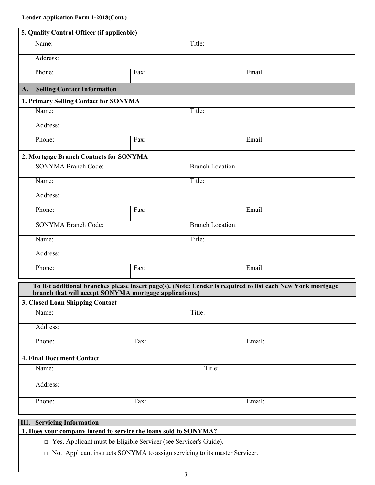| 5. Quality Control Officer (if applicable)                                                                                                  |                                                        |                         |                                                                                                             |  |  |  |
|---------------------------------------------------------------------------------------------------------------------------------------------|--------------------------------------------------------|-------------------------|-------------------------------------------------------------------------------------------------------------|--|--|--|
| Name:                                                                                                                                       |                                                        | Title:                  |                                                                                                             |  |  |  |
| Address:                                                                                                                                    |                                                        |                         |                                                                                                             |  |  |  |
| Phone:                                                                                                                                      | Fax:                                                   |                         | Email:                                                                                                      |  |  |  |
| <b>Selling Contact Information</b><br>A.                                                                                                    |                                                        |                         |                                                                                                             |  |  |  |
| 1. Primary Selling Contact for SONYMA                                                                                                       |                                                        |                         |                                                                                                             |  |  |  |
| Name:                                                                                                                                       |                                                        | Title:                  |                                                                                                             |  |  |  |
| Address:                                                                                                                                    |                                                        |                         |                                                                                                             |  |  |  |
| Phone:                                                                                                                                      | $\overline{F}ax$ :                                     |                         | Email:                                                                                                      |  |  |  |
| 2. Mortgage Branch Contacts for SONYMA                                                                                                      |                                                        |                         |                                                                                                             |  |  |  |
| <b>SONYMA Branch Code:</b>                                                                                                                  |                                                        | <b>Branch Location:</b> |                                                                                                             |  |  |  |
| Name:                                                                                                                                       |                                                        | Title:                  |                                                                                                             |  |  |  |
| Address:                                                                                                                                    |                                                        |                         |                                                                                                             |  |  |  |
| Phone:                                                                                                                                      | $\overline{F}ax$ :                                     |                         | Email:                                                                                                      |  |  |  |
| <b>SONYMA Branch Code:</b>                                                                                                                  |                                                        |                         | <b>Branch Location:</b>                                                                                     |  |  |  |
| Name:                                                                                                                                       |                                                        | Title:                  |                                                                                                             |  |  |  |
| Address:                                                                                                                                    |                                                        |                         |                                                                                                             |  |  |  |
| Phone:                                                                                                                                      | $\overline{Fax}$ :                                     |                         | Email:                                                                                                      |  |  |  |
|                                                                                                                                             |                                                        |                         | To list additional branches please insert page(s). (Note: Lender is required to list each New York mortgage |  |  |  |
| 3. Closed Loan Shipping Contact                                                                                                             | branch that will accept SONYMA mortgage applications.) |                         |                                                                                                             |  |  |  |
| Name:                                                                                                                                       |                                                        | Title:                  |                                                                                                             |  |  |  |
| Address:                                                                                                                                    |                                                        |                         |                                                                                                             |  |  |  |
| Phone:                                                                                                                                      | Fax:                                                   |                         | Email:                                                                                                      |  |  |  |
| <b>4. Final Document Contact</b>                                                                                                            |                                                        |                         |                                                                                                             |  |  |  |
| Name:                                                                                                                                       |                                                        | Title:                  |                                                                                                             |  |  |  |
| Address:                                                                                                                                    |                                                        |                         |                                                                                                             |  |  |  |
| Phone:                                                                                                                                      | Fax:                                                   |                         | Email:                                                                                                      |  |  |  |
|                                                                                                                                             |                                                        |                         |                                                                                                             |  |  |  |
|                                                                                                                                             | <b>III.</b> Servicing Information                      |                         |                                                                                                             |  |  |  |
| 1. Does your company intend to service the loans sold to SONYMA?<br>$\Box$ Yes. Applicant must be Eligible Servicer (see Servicer's Guide). |                                                        |                         |                                                                                                             |  |  |  |
|                                                                                                                                             |                                                        |                         |                                                                                                             |  |  |  |

**□** No. Applicant instructs SONYMA to assign servicing to its master Servicer.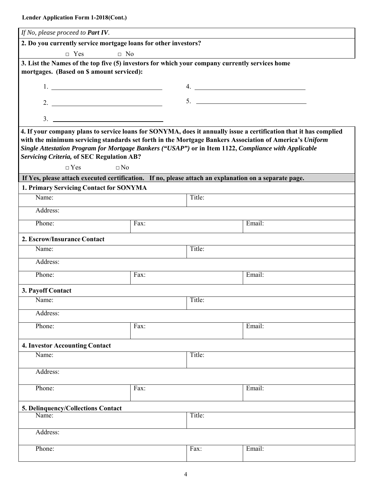| If No, please proceed to Part IV.                                                                                                                                                                                                                                                                                      |                    |        |        |  |  |  |
|------------------------------------------------------------------------------------------------------------------------------------------------------------------------------------------------------------------------------------------------------------------------------------------------------------------------|--------------------|--------|--------|--|--|--|
| 2. Do you currently service mortgage loans for other investors?                                                                                                                                                                                                                                                        |                    |        |        |  |  |  |
| $\Box$ Yes                                                                                                                                                                                                                                                                                                             | $\Box$ No          |        |        |  |  |  |
| 3. List the Names of the top five (5) investors for which your company currently services home                                                                                                                                                                                                                         |                    |        |        |  |  |  |
| mortgages. (Based on \$ amount serviced):                                                                                                                                                                                                                                                                              |                    |        |        |  |  |  |
| $1.$ $\frac{1}{2}$ $\frac{1}{2}$ $\frac{1}{2}$ $\frac{1}{2}$ $\frac{1}{2}$ $\frac{1}{2}$ $\frac{1}{2}$ $\frac{1}{2}$ $\frac{1}{2}$ $\frac{1}{2}$ $\frac{1}{2}$ $\frac{1}{2}$ $\frac{1}{2}$ $\frac{1}{2}$ $\frac{1}{2}$ $\frac{1}{2}$ $\frac{1}{2}$ $\frac{1}{2}$ $\frac{1}{2}$ $\frac{1}{2}$ $\frac{1}{2}$ $\frac{1}{$ |                    |        |        |  |  |  |
| 2. $\overline{\phantom{a}}$                                                                                                                                                                                                                                                                                            |                    |        |        |  |  |  |
|                                                                                                                                                                                                                                                                                                                        |                    |        |        |  |  |  |
| 4. If your company plans to service loans for SONYMA, does it annually issue a certification that it has complied                                                                                                                                                                                                      |                    |        |        |  |  |  |
| with the minimum servicing standards set forth in the Mortgage Bankers Association of America's Uniform                                                                                                                                                                                                                |                    |        |        |  |  |  |
| Single Attestation Program for Mortgage Bankers ("USAP") or in Item 1122, Compliance with Applicable                                                                                                                                                                                                                   |                    |        |        |  |  |  |
| <b>Servicing Criteria, of SEC Regulation AB?</b>                                                                                                                                                                                                                                                                       |                    |        |        |  |  |  |
| $\Box$ Yes<br>$\Box$ No                                                                                                                                                                                                                                                                                                |                    |        |        |  |  |  |
| If Yes, please attach executed certification. If no, please attach an explanation on a separate page.                                                                                                                                                                                                                  |                    |        |        |  |  |  |
| 1. Primary Servicing Contact for SONYMA                                                                                                                                                                                                                                                                                |                    |        |        |  |  |  |
| Name:                                                                                                                                                                                                                                                                                                                  |                    | Title: |        |  |  |  |
| Address:                                                                                                                                                                                                                                                                                                               |                    |        |        |  |  |  |
| Phone:                                                                                                                                                                                                                                                                                                                 | $\overline{Fax}$ : |        | Email: |  |  |  |
| 2. Escrow/Insurance Contact                                                                                                                                                                                                                                                                                            |                    |        |        |  |  |  |
| Name:                                                                                                                                                                                                                                                                                                                  |                    | Title: |        |  |  |  |
| Address:                                                                                                                                                                                                                                                                                                               |                    |        |        |  |  |  |
| Phone:                                                                                                                                                                                                                                                                                                                 | Fax:               |        | Email: |  |  |  |
| 3. Payoff Contact                                                                                                                                                                                                                                                                                                      |                    |        |        |  |  |  |
| Name:                                                                                                                                                                                                                                                                                                                  |                    | Title: |        |  |  |  |
| Address:                                                                                                                                                                                                                                                                                                               |                    |        |        |  |  |  |
| Phone:                                                                                                                                                                                                                                                                                                                 | Fax:               |        | Email: |  |  |  |
| <b>4. Investor Accounting Contact</b>                                                                                                                                                                                                                                                                                  |                    |        |        |  |  |  |
| Name:                                                                                                                                                                                                                                                                                                                  |                    | Title: |        |  |  |  |
| Address:                                                                                                                                                                                                                                                                                                               |                    |        |        |  |  |  |
| Phone:<br>Email:<br>Fax:                                                                                                                                                                                                                                                                                               |                    |        |        |  |  |  |
|                                                                                                                                                                                                                                                                                                                        |                    |        |        |  |  |  |
| 5. Delinquency/Collections Contact                                                                                                                                                                                                                                                                                     |                    |        |        |  |  |  |
| Title:<br>Name:                                                                                                                                                                                                                                                                                                        |                    |        |        |  |  |  |
| Address:                                                                                                                                                                                                                                                                                                               |                    |        |        |  |  |  |
| Phone:                                                                                                                                                                                                                                                                                                                 |                    | Fax:   | Email: |  |  |  |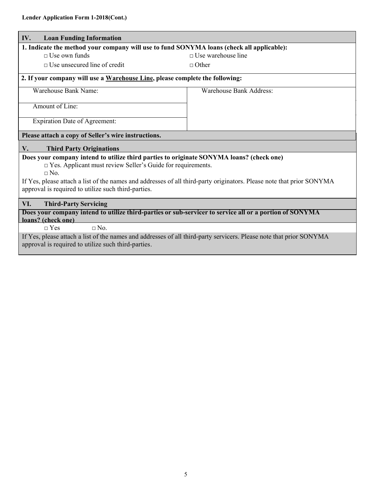$\mathbf{I}$ 

| IV.<br><b>Loan Funding Information</b>                                                                                                                                       |                                |  |  |  |
|------------------------------------------------------------------------------------------------------------------------------------------------------------------------------|--------------------------------|--|--|--|
| 1. Indicate the method your company will use to fund SONYMA loans (check all applicable):                                                                                    |                                |  |  |  |
| $\Box$ Use own funds                                                                                                                                                         | $\Box$ Use warehouse line      |  |  |  |
| $\Box$ Use unsecured line of credit                                                                                                                                          | $\Box$ Other                   |  |  |  |
| 2. If your company will use a Warehouse Line, please complete the following:                                                                                                 |                                |  |  |  |
| Warehouse Bank Name:                                                                                                                                                         | <b>Warehouse Bank Address:</b> |  |  |  |
| Amount of Line:                                                                                                                                                              |                                |  |  |  |
| <b>Expiration Date of Agreement:</b>                                                                                                                                         |                                |  |  |  |
| Please attach a copy of Seller's wire instructions.                                                                                                                          |                                |  |  |  |
| <b>Third Party Originations</b><br>$V_{\bullet}$                                                                                                                             |                                |  |  |  |
| Does your company intend to utilize third parties to originate SONYMA loans? (check one)<br>$\Box$ Yes. Applicant must review Seller's Guide for requirements.               |                                |  |  |  |
| $\Box$ No                                                                                                                                                                    |                                |  |  |  |
| If Yes, please attach a list of the names and addresses of all third-party originators. Please note that prior SONYMA<br>approval is required to utilize such third-parties. |                                |  |  |  |
| VI.<br><b>Third-Party Servicing</b>                                                                                                                                          |                                |  |  |  |
| Does your company intend to utilize third-parties or sub-servicer to service all or a portion of SONYMA<br>loans? (check one)                                                |                                |  |  |  |
| $\Box$ No.<br>$\Box$ Yes                                                                                                                                                     |                                |  |  |  |
| If Yes, please attach a list of the names and addresses of all third-party servicers. Please note that prior SONYMA<br>approval is required to utilize such third-parties.   |                                |  |  |  |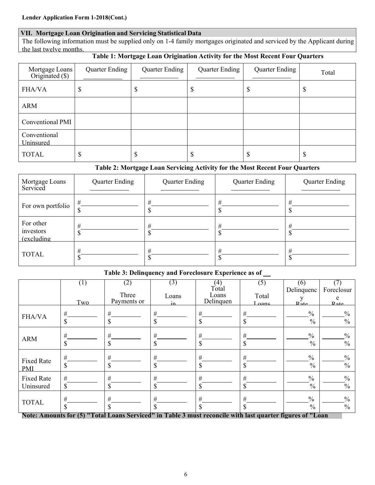#### **VII. Mortgage Loan Origination and Servicing Statistical Data**

The following information must be supplied only on 1-4 family mortgages originated and serviced by the Applicant during the last twelve months.

## **Table 1: Mortgage Loan Origination Activity for the Most Recent Four Quarters**

| Mortgage Loans<br>Originated (\$) | Quarter Ending | <b>Quarter Ending</b> | <b>Quarter Ending</b> | <b>Quarter Ending</b> | Total |
|-----------------------------------|----------------|-----------------------|-----------------------|-----------------------|-------|
| <b>FHA/VA</b>                     | D              | D                     | \$                    | Φ                     | D     |
| <b>ARM</b>                        |                |                       |                       |                       |       |
| Conventional PMI                  |                |                       |                       |                       |       |
| Conventional<br>Uninsured         |                |                       |                       |                       |       |
| <b>TOTAL</b>                      | ــــه<br>D     |                       | \$                    | D                     |       |

#### **Table 2: Mortgage Loan Servicing Activity for the Most Recent Four Quarters**

| Mortgage Loans<br>Serviced                   | <b>Quarter Ending</b> | <b>Quarter Ending</b> | <b>Quarter Ending</b> | <b>Quarter Ending</b> |
|----------------------------------------------|-----------------------|-----------------------|-----------------------|-----------------------|
| For own portfolio                            | #                     | #                     | #                     | #                     |
| For other<br>investors<br><i>(excluding)</i> | #                     | #                     | #                     | #                     |
| <b>TOTAL</b>                                 | $_{\rm \#}$           | #                     | #                     | #                     |

#### **Table 3: Delinquency and Foreclosure Experience as of**

|                   | $\left( 1\right)$<br>Two | (2)<br>Three<br>Payments or                                                                                          | (3)<br>Loans     | (4)<br>Total<br>Loans<br>Delinquen | (5)<br>Total      | (6)<br>Delinquenc<br>v                 | Foreclosur<br>e                        |
|-------------------|--------------------------|----------------------------------------------------------------------------------------------------------------------|------------------|------------------------------------|-------------------|----------------------------------------|----------------------------------------|
| <b>FHA/VA</b>     | $\#$<br>\$               | #<br>\$                                                                                                              | in<br>$\#$<br>\$ | $\#$<br>\$                         | Loans.<br>#<br>\$ | Rate<br>$\frac{0}{0}$<br>$\frac{0}{0}$ | Rate<br>$\frac{0}{0}$<br>$\frac{0}{0}$ |
| <b>ARM</b>        | $\#$                     | $\#$                                                                                                                 | #                | $\#$                               | $\#$              | $\frac{0}{0}$                          | $\frac{0}{0}$                          |
|                   | $\mathbf S$              | \$                                                                                                                   | \$               | \$                                 | \$                | $\frac{0}{0}$                          | $\frac{0}{0}$                          |
| <b>Fixed Rate</b> | #                        | #                                                                                                                    | #                | #                                  | $\#$              | $\frac{0}{0}$                          | $\frac{0}{0}$                          |
| <b>PMI</b>        | \$                       | \$                                                                                                                   | \$               | \$                                 | \$                | $\frac{0}{0}$                          | $\frac{0}{0}$                          |
| <b>Fixed Rate</b> | $\#$                     | $\#$                                                                                                                 | #                | $\#$                               | #                 | $\frac{0}{0}$                          | $\frac{0}{0}$                          |
| Uninsured         | \$                       | \$                                                                                                                   | \$               | \$                                 | \$                | $\frac{0}{0}$                          | $\frac{0}{0}$                          |
| <b>TOTAL</b>      | #<br>\$                  | #<br>\$<br>Note: Amounts for (5) "Total Loans Serviced" in Table 3 must reconcile with last quarter figures of "Loan | #<br>\$          | $\#$<br>\$                         | #<br>\$           | $\frac{0}{0}$<br>$\frac{0}{0}$         | $\frac{0}{0}$<br>$\frac{0}{0}$         |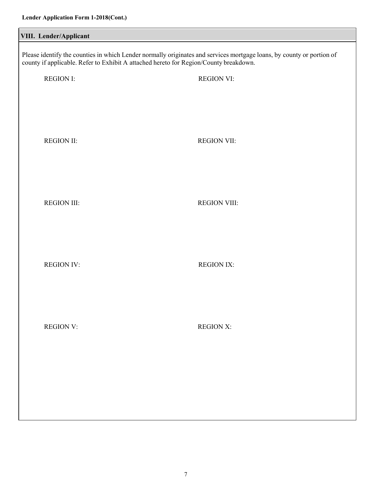| VIII. Lender/Applicant |                                                                                                                                                                                                                |  |  |  |  |  |
|------------------------|----------------------------------------------------------------------------------------------------------------------------------------------------------------------------------------------------------------|--|--|--|--|--|
|                        | Please identify the counties in which Lender normally originates and services mortgage loans, by county or portion of<br>county if applicable. Refer to Exhibit A attached hereto for Region/County breakdown. |  |  |  |  |  |
| <b>REGION I:</b>       | <b>REGION VI:</b>                                                                                                                                                                                              |  |  |  |  |  |
|                        |                                                                                                                                                                                                                |  |  |  |  |  |
| <b>REGION II:</b>      | <b>REGION VII:</b>                                                                                                                                                                                             |  |  |  |  |  |
|                        |                                                                                                                                                                                                                |  |  |  |  |  |
|                        |                                                                                                                                                                                                                |  |  |  |  |  |
| <b>REGION III:</b>     | <b>REGION VIII:</b>                                                                                                                                                                                            |  |  |  |  |  |
|                        |                                                                                                                                                                                                                |  |  |  |  |  |
| <b>REGION IV:</b>      | <b>REGION IX:</b>                                                                                                                                                                                              |  |  |  |  |  |
|                        |                                                                                                                                                                                                                |  |  |  |  |  |
| <b>REGION V:</b>       | <b>REGION X:</b>                                                                                                                                                                                               |  |  |  |  |  |
|                        |                                                                                                                                                                                                                |  |  |  |  |  |
|                        |                                                                                                                                                                                                                |  |  |  |  |  |
|                        |                                                                                                                                                                                                                |  |  |  |  |  |
|                        |                                                                                                                                                                                                                |  |  |  |  |  |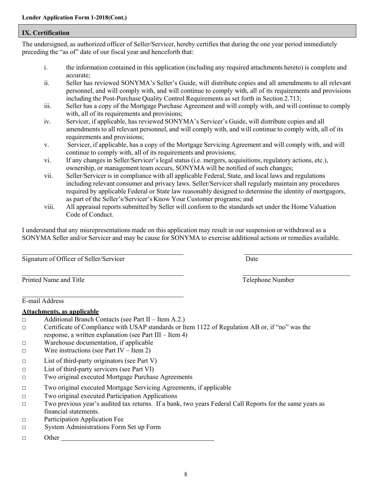#### **IX. Certification**

The undersigned, as authorized officer of Seller/Servicer, hereby certifies that during the one year period immediately preceding the "as of" date of our fiscal year and henceforth that:

- i. the information contained in this application (including any required attachments hereto) is complete and accurate;
- ii. Seller has reviewed SONYMA's Seller's Guide, will distribute copies and all amendments to all relevant personnel, and will comply with, and will continue to comply with, all of its requirements and provisions including the Post-Purchase Quality Control Requirements as set forth in Section 2.713;
- iii. Seller has a copy of the Mortgage Purchase Agreement and will comply with, and will continue to comply with, all of its requirements and provisions;
- iv. Servicer, if applicable, has reviewed SONYMA's Servicer's Guide, will distribute copies and all amendments to all relevant personnel, and will comply with, and will continue to comply with, all of its requirements and provisions;
- v. Servicer, if applicable, has a copy of the Mortgage Servicing Agreement and will comply with, and will continue to comply with, all of its requirements and provisions;
- vi. If any changes in Seller/Servicer's legal status (i.e. mergers, acquisitions, regulatory actions, etc.), ownership, or management team occurs, SONYMA will be notified of such changes;
- vii. Seller/Servicer is in compliance with all applicable Federal, State, and local laws and regulations including relevant consumer and privacy laws. Seller/Servicer shall regularly maintain any procedures required by applicable Federal or State law reasonably designed to determine the identity of mortgagors, as part of the Seller's/Servicer's Know Your Customer programs; and
- viii. All appraisal reports submitted by Seller will conform to the standards set under the Home Valuation Code of Conduct.

I understand that any misrepresentations made on this application may result in our suspension or withdrawal as a SONYMA Seller and/or Servicer and may be cause for SONYMA to exercise additional actions or remedies available.

Signature of Officer of Seller/Servicer Date

| Printed Name and Title |  |  |
|------------------------|--|--|
|                        |  |  |

Telephone Number

E-mail Address

#### **Attachments, as applicable**

- □ Additional Branch Contacts (see Part II Item A.2.)
- $\Box$  Certificate of Compliance with USAP standards or Item 1122 of Regulation AB or, if "no" was the response, a written explanation (see Part III – Item 4)
- □ Warehouse documentation, if applicable
- $\Box$  Wire instructions (see Part IV Item 2)
- □ List of third-party originators (see Part V)
- □ List of third-party servicers (see Part VI)
- □ Two original executed Mortgage Purchase Agreements
- □ Two original executed Mortgage Servicing Agreements, if applicable
- □ Two original executed Participation Applications
- □ Two previous year's audited tax returns. If a bank, two years Federal Call Reports for the same years as financial statements.
- □ Participation Application Fee
- □ System Administrations Form Set up Form
- □ Other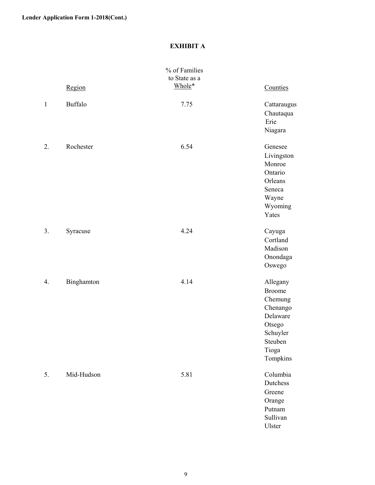### **EXHIBIT A**

|              | Region         | % of Families<br>to State as a<br>Whole* | Counties                                                                                                           |
|--------------|----------------|------------------------------------------|--------------------------------------------------------------------------------------------------------------------|
| $\mathbf{1}$ | <b>Buffalo</b> | 7.75                                     | Cattaraugus<br>Chautaqua<br>Erie<br>Niagara                                                                        |
| 2.           | Rochester      | 6.54                                     | Genesee<br>Livingston<br>Monroe<br>Ontario<br>Orleans<br>Seneca<br>Wayne<br>Wyoming<br>Yates                       |
| 3.           | Syracuse       | 4.24                                     | Cayuga<br>Cortland<br>Madison<br>Onondaga<br>Oswego                                                                |
| 4.           | Binghamton     | 4.14                                     | Allegany<br><b>Broome</b><br>Chemung<br>Chenango<br>Delaware<br>Otsego<br>Schuyler<br>Steuben<br>Tioga<br>Tompkins |
| 5.           | Mid-Hudson     | 5.81                                     | Columbia<br>Dutchess<br>Greene<br>Orange<br>Putnam<br>Sullivan<br>Ulster                                           |